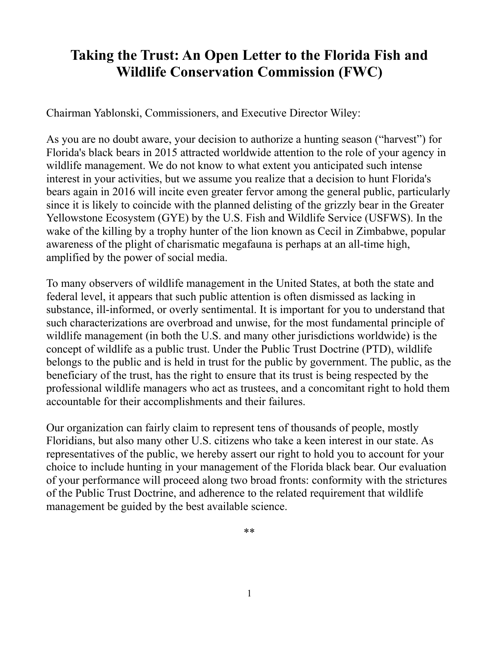# **Taking the Trust: An Open Letter to the Florida Fish and Wildlife Conservation Commission (FWC)**

Chairman Yablonski, Commissioners, and Executive Director Wiley:

As you are no doubt aware, your decision to authorize a hunting season ("harvest") for Florida's black bears in 2015 attracted worldwide attention to the role of your agency in wildlife management. We do not know to what extent you anticipated such intense interest in your activities, but we assume you realize that a decision to hunt Florida's bears again in 2016 will incite even greater fervor among the general public, particularly since it is likely to coincide with the planned delisting of the grizzly bear in the Greater Yellowstone Ecosystem (GYE) by the U.S. Fish and Wildlife Service (USFWS). In the wake of the killing by a trophy hunter of the lion known as Cecil in Zimbabwe, popular awareness of the plight of charismatic megafauna is perhaps at an all-time high, amplified by the power of social media.

To many observers of wildlife management in the United States, at both the state and federal level, it appears that such public attention is often dismissed as lacking in substance, ill-informed, or overly sentimental. It is important for you to understand that such characterizations are overbroad and unwise, for the most fundamental principle of wildlife management (in both the U.S. and many other jurisdictions worldwide) is the concept of wildlife as a public trust. Under the Public Trust Doctrine (PTD), wildlife belongs to the public and is held in trust for the public by government. The public, as the beneficiary of the trust, has the right to ensure that its trust is being respected by the professional wildlife managers who act as trustees, and a concomitant right to hold them accountable for their accomplishments and their failures.

Our organization can fairly claim to represent tens of thousands of people, mostly Floridians, but also many other U.S. citizens who take a keen interest in our state. As representatives of the public, we hereby assert our right to hold you to account for your choice to include hunting in your management of the Florida black bear. Our evaluation of your performance will proceed along two broad fronts: conformity with the strictures of the Public Trust Doctrine, and adherence to the related requirement that wildlife management be guided by the best available science.

\*\*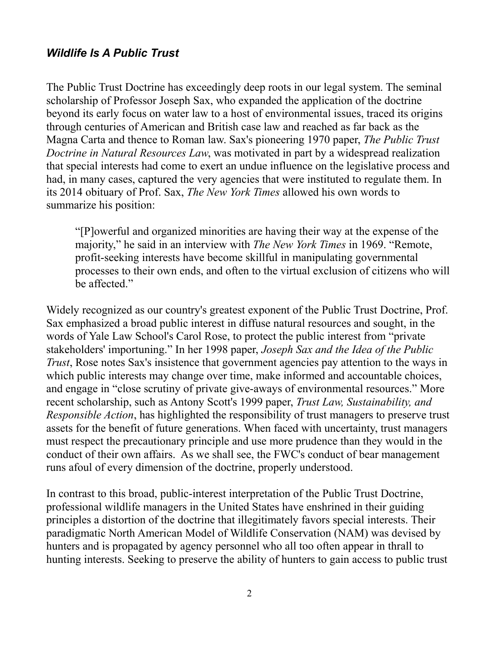## *Wildlife Is A Public Trust*

The Public Trust Doctrine has exceedingly deep roots in our legal system. The seminal scholarship of Professor Joseph Sax, who expanded the application of the doctrine beyond its early focus on water law to a host of environmental issues, traced its origins through centuries of American and British case law and reached as far back as the Magna Carta and thence to Roman law. Sax's pioneering 1970 paper, *The Public Trust Doctrine in Natural Resources Law*, was motivated in part by a widespread realization that special interests had come to exert an undue influence on the legislative process and had, in many cases, captured the very agencies that were instituted to regulate them. In its 2014 obituary of Prof. Sax, *The New York Times* allowed his own words to summarize his position:

"[P]owerful and organized minorities are having their way at the expense of the majority," he said in an interview with *The New York Times* in 1969. "Remote, profit-seeking interests have become skillful in manipulating governmental processes to their own ends, and often to the virtual exclusion of citizens who will be affected."

Widely recognized as our country's greatest exponent of the Public Trust Doctrine, Prof. Sax emphasized a broad public interest in diffuse natural resources and sought, in the words of Yale Law School's Carol Rose, to protect the public interest from "private stakeholders' importuning." In her 1998 paper, *Joseph Sax and the Idea of the Public Trust*, Rose notes Sax's insistence that government agencies pay attention to the ways in which public interests may change over time, make informed and accountable choices, and engage in "close scrutiny of private give-aways of environmental resources." More recent scholarship, such as Antony Scott's 1999 paper, *Trust Law, Sustainability, and Responsible Action*, has highlighted the responsibility of trust managers to preserve trust assets for the benefit of future generations. When faced with uncertainty, trust managers must respect the precautionary principle and use more prudence than they would in the conduct of their own affairs. As we shall see, the FWC's conduct of bear management runs afoul of every dimension of the doctrine, properly understood.

In contrast to this broad, public-interest interpretation of the Public Trust Doctrine, professional wildlife managers in the United States have enshrined in their guiding principles a distortion of the doctrine that illegitimately favors special interests. Their paradigmatic North American Model of Wildlife Conservation (NAM) was devised by hunters and is propagated by agency personnel who all too often appear in thrall to hunting interests. Seeking to preserve the ability of hunters to gain access to public trust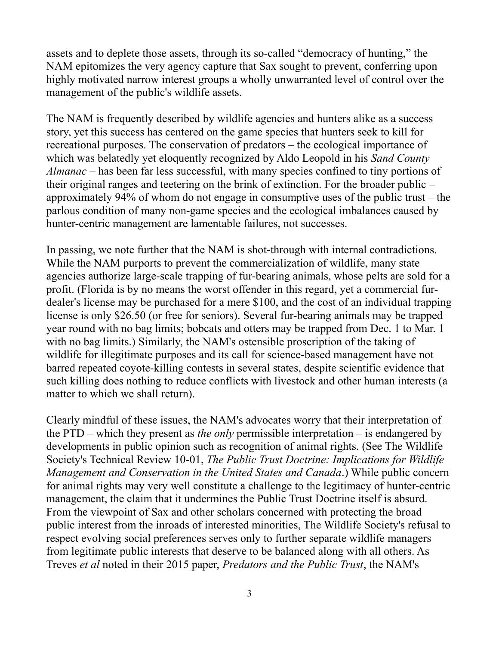assets and to deplete those assets, through its so-called "democracy of hunting," the NAM epitomizes the very agency capture that Sax sought to prevent, conferring upon highly motivated narrow interest groups a wholly unwarranted level of control over the management of the public's wildlife assets.

The NAM is frequently described by wildlife agencies and hunters alike as a success story, yet this success has centered on the game species that hunters seek to kill for recreational purposes. The conservation of predators – the ecological importance of which was belatedly yet eloquently recognized by Aldo Leopold in his *Sand County Almanac* – has been far less successful, with many species confined to tiny portions of their original ranges and teetering on the brink of extinction. For the broader public – approximately 94% of whom do not engage in consumptive uses of the public trust – the parlous condition of many non-game species and the ecological imbalances caused by hunter-centric management are lamentable failures, not successes.

In passing, we note further that the NAM is shot-through with internal contradictions. While the NAM purports to prevent the commercialization of wildlife, many state agencies authorize large-scale trapping of fur-bearing animals, whose pelts are sold for a profit. (Florida is by no means the worst offender in this regard, yet a commercial furdealer's license may be purchased for a mere \$100, and the cost of an individual trapping license is only \$26.50 (or free for seniors). Several fur-bearing animals may be trapped year round with no bag limits; bobcats and otters may be trapped from Dec. 1 to Mar. 1 with no bag limits.) Similarly, the NAM's ostensible proscription of the taking of wildlife for illegitimate purposes and its call for science-based management have not barred repeated coyote-killing contests in several states, despite scientific evidence that such killing does nothing to reduce conflicts with livestock and other human interests (a matter to which we shall return).

Clearly mindful of these issues, the NAM's advocates worry that their interpretation of the PTD – which they present as *the only* permissible interpretation – is endangered by developments in public opinion such as recognition of animal rights. (See The Wildlife Society's Technical Review 10-01, *The Public Trust Doctrine: Implications for Wildlife Management and Conservation in the United States and Canada*.) While public concern for animal rights may very well constitute a challenge to the legitimacy of hunter-centric management, the claim that it undermines the Public Trust Doctrine itself is absurd. From the viewpoint of Sax and other scholars concerned with protecting the broad public interest from the inroads of interested minorities, The Wildlife Society's refusal to respect evolving social preferences serves only to further separate wildlife managers from legitimate public interests that deserve to be balanced along with all others. As Treves *et al* noted in their 2015 paper, *Predators and the Public Trust*, the NAM's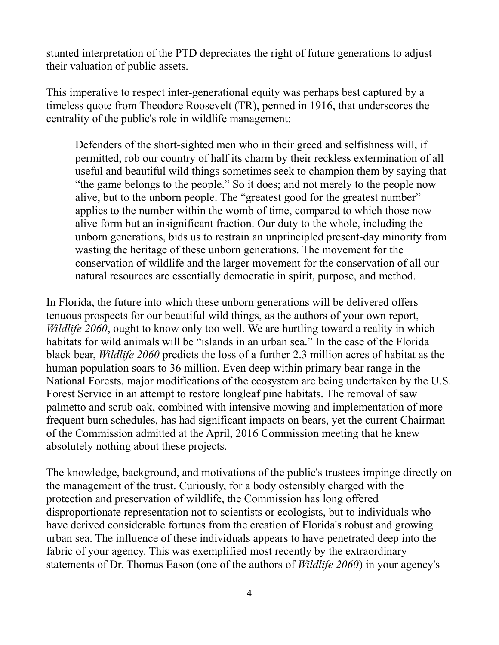stunted interpretation of the PTD depreciates the right of future generations to adjust their valuation of public assets.

This imperative to respect inter-generational equity was perhaps best captured by a timeless quote from Theodore Roosevelt (TR), penned in 1916, that underscores the centrality of the public's role in wildlife management:

Defenders of the short-sighted men who in their greed and selfishness will, if permitted, rob our country of half its charm by their reckless extermination of all useful and beautiful wild things sometimes seek to champion them by saying that "the game belongs to the people." So it does; and not merely to the people now alive, but to the unborn people. The "greatest good for the greatest number" applies to the number within the womb of time, compared to which those now alive form but an insignificant fraction. Our duty to the whole, including the unborn generations, bids us to restrain an unprincipled present-day minority from wasting the heritage of these unborn generations. The movement for the conservation of wildlife and the larger movement for the conservation of all our natural resources are essentially democratic in spirit, purpose, and method.

In Florida, the future into which these unborn generations will be delivered offers tenuous prospects for our beautiful wild things, as the authors of your own report, *Wildlife 2060*, ought to know only too well. We are hurtling toward a reality in which habitats for wild animals will be "islands in an urban sea." In the case of the Florida black bear, *Wildlife 2060* predicts the loss of a further 2.3 million acres of habitat as the human population soars to 36 million. Even deep within primary bear range in the National Forests, major modifications of the ecosystem are being undertaken by the U.S. Forest Service in an attempt to restore longleaf pine habitats. The removal of saw palmetto and scrub oak, combined with intensive mowing and implementation of more frequent burn schedules, has had significant impacts on bears, yet the current Chairman of the Commission admitted at the April, 2016 Commission meeting that he knew absolutely nothing about these projects.

The knowledge, background, and motivations of the public's trustees impinge directly on the management of the trust. Curiously, for a body ostensibly charged with the protection and preservation of wildlife, the Commission has long offered disproportionate representation not to scientists or ecologists, but to individuals who have derived considerable fortunes from the creation of Florida's robust and growing urban sea. The influence of these individuals appears to have penetrated deep into the fabric of your agency. This was exemplified most recently by the extraordinary statements of Dr. Thomas Eason (one of the authors of *Wildlife 2060*) in your agency's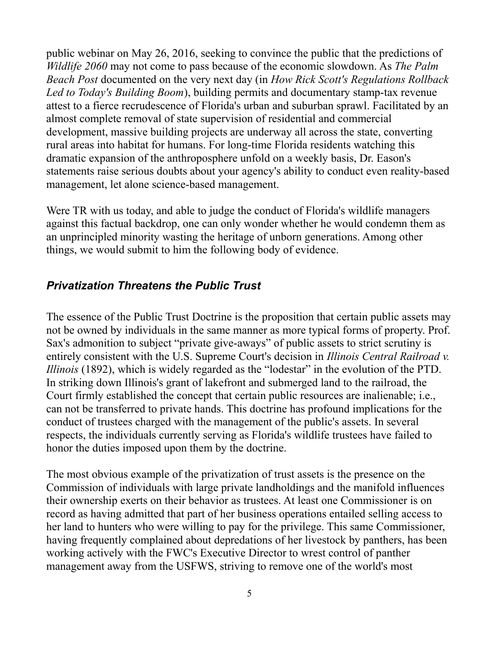public webinar on May 26, 2016, seeking to convince the public that the predictions of *Wildlife 2060* may not come to pass because of the economic slowdown. As *The Palm Beach Post* documented on the very next day (in *How Rick Scott's Regulations Rollback Led to Today's Building Boom*), building permits and documentary stamp-tax revenue attest to a fierce recrudescence of Florida's urban and suburban sprawl. Facilitated by an almost complete removal of state supervision of residential and commercial development, massive building projects are underway all across the state, converting rural areas into habitat for humans. For long-time Florida residents watching this dramatic expansion of the anthroposphere unfold on a weekly basis, Dr. Eason's statements raise serious doubts about your agency's ability to conduct even reality-based management, let alone science-based management.

Were TR with us today, and able to judge the conduct of Florida's wildlife managers against this factual backdrop, one can only wonder whether he would condemn them as an unprincipled minority wasting the heritage of unborn generations. Among other things, we would submit to him the following body of evidence.

#### *Privatization Threatens the Public Trust*

The essence of the Public Trust Doctrine is the proposition that certain public assets may not be owned by individuals in the same manner as more typical forms of property. Prof. Sax's admonition to subject "private give-aways" of public assets to strict scrutiny is entirely consistent with the U.S. Supreme Court's decision in *Illinois Central Railroad v. Illinois* (1892), which is widely regarded as the "lodestar" in the evolution of the PTD. In striking down Illinois's grant of lakefront and submerged land to the railroad, the Court firmly established the concept that certain public resources are inalienable; i.e., can not be transferred to private hands. This doctrine has profound implications for the conduct of trustees charged with the management of the public's assets. In several respects, the individuals currently serving as Florida's wildlife trustees have failed to honor the duties imposed upon them by the doctrine.

The most obvious example of the privatization of trust assets is the presence on the Commission of individuals with large private landholdings and the manifold influences their ownership exerts on their behavior as trustees. At least one Commissioner is on record as having admitted that part of her business operations entailed selling access to her land to hunters who were willing to pay for the privilege. This same Commissioner, having frequently complained about depredations of her livestock by panthers, has been working actively with the FWC's Executive Director to wrest control of panther management away from the USFWS, striving to remove one of the world's most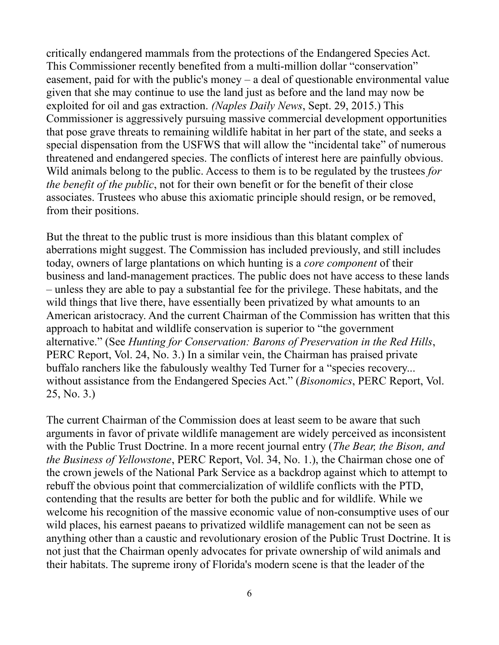critically endangered mammals from the protections of the Endangered Species Act. This Commissioner recently benefited from a multi-million dollar "conservation" easement, paid for with the public's money – a deal of questionable environmental value given that she may continue to use the land just as before and the land may now be exploited for oil and gas extraction. *(Naples Daily News*, Sept. 29, 2015.) This Commissioner is aggressively pursuing massive commercial development opportunities that pose grave threats to remaining wildlife habitat in her part of the state, and seeks a special dispensation from the USFWS that will allow the "incidental take" of numerous threatened and endangered species. The conflicts of interest here are painfully obvious. Wild animals belong to the public. Access to them is to be regulated by the trustees *for the benefit of the public*, not for their own benefit or for the benefit of their close associates. Trustees who abuse this axiomatic principle should resign, or be removed, from their positions.

But the threat to the public trust is more insidious than this blatant complex of aberrations might suggest. The Commission has included previously, and still includes today, owners of large plantations on which hunting is a *core component* of their business and land-management practices. The public does not have access to these lands – unless they are able to pay a substantial fee for the privilege. These habitats, and the wild things that live there, have essentially been privatized by what amounts to an American aristocracy. And the current Chairman of the Commission has written that this approach to habitat and wildlife conservation is superior to "the government alternative." (See *Hunting for Conservation: Barons of Preservation in the Red Hills*, PERC Report, Vol. 24, No. 3.) In a similar vein, the Chairman has praised private buffalo ranchers like the fabulously wealthy Ted Turner for a "species recovery... without assistance from the Endangered Species Act." (*Bisonomics*, PERC Report, Vol. 25, No. 3.)

The current Chairman of the Commission does at least seem to be aware that such arguments in favor of private wildlife management are widely perceived as inconsistent with the Public Trust Doctrine. In a more recent journal entry (*The Bear, the Bison, and the Business of Yellowstone*, PERC Report, Vol. 34, No. 1.), the Chairman chose one of the crown jewels of the National Park Service as a backdrop against which to attempt to rebuff the obvious point that commercialization of wildlife conflicts with the PTD, contending that the results are better for both the public and for wildlife. While we welcome his recognition of the massive economic value of non-consumptive uses of our wild places, his earnest paeans to privatized wildlife management can not be seen as anything other than a caustic and revolutionary erosion of the Public Trust Doctrine. It is not just that the Chairman openly advocates for private ownership of wild animals and their habitats. The supreme irony of Florida's modern scene is that the leader of the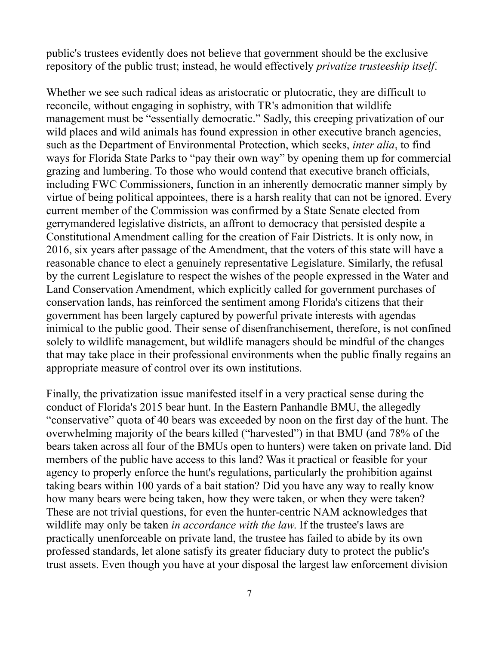public's trustees evidently does not believe that government should be the exclusive repository of the public trust; instead, he would effectively *privatize trusteeship itself*.

Whether we see such radical ideas as aristocratic or plutocratic, they are difficult to reconcile, without engaging in sophistry, with TR's admonition that wildlife management must be "essentially democratic." Sadly, this creeping privatization of our wild places and wild animals has found expression in other executive branch agencies, such as the Department of Environmental Protection, which seeks, *inter alia*, to find ways for Florida State Parks to "pay their own way" by opening them up for commercial grazing and lumbering. To those who would contend that executive branch officials, including FWC Commissioners, function in an inherently democratic manner simply by virtue of being political appointees, there is a harsh reality that can not be ignored. Every current member of the Commission was confirmed by a State Senate elected from gerrymandered legislative districts, an affront to democracy that persisted despite a Constitutional Amendment calling for the creation of Fair Districts. It is only now, in 2016, six years after passage of the Amendment, that the voters of this state will have a reasonable chance to elect a genuinely representative Legislature. Similarly, the refusal by the current Legislature to respect the wishes of the people expressed in the Water and Land Conservation Amendment, which explicitly called for government purchases of conservation lands, has reinforced the sentiment among Florida's citizens that their government has been largely captured by powerful private interests with agendas inimical to the public good. Their sense of disenfranchisement, therefore, is not confined solely to wildlife management, but wildlife managers should be mindful of the changes that may take place in their professional environments when the public finally regains an appropriate measure of control over its own institutions.

Finally, the privatization issue manifested itself in a very practical sense during the conduct of Florida's 2015 bear hunt. In the Eastern Panhandle BMU, the allegedly "conservative" quota of 40 bears was exceeded by noon on the first day of the hunt. The overwhelming majority of the bears killed ("harvested") in that BMU (and 78% of the bears taken across all four of the BMUs open to hunters) were taken on private land. Did members of the public have access to this land? Was it practical or feasible for your agency to properly enforce the hunt's regulations, particularly the prohibition against taking bears within 100 yards of a bait station? Did you have any way to really know how many bears were being taken, how they were taken, or when they were taken? These are not trivial questions, for even the hunter-centric NAM acknowledges that wildlife may only be taken *in accordance with the law*. If the trustee's laws are practically unenforceable on private land, the trustee has failed to abide by its own professed standards, let alone satisfy its greater fiduciary duty to protect the public's trust assets. Even though you have at your disposal the largest law enforcement division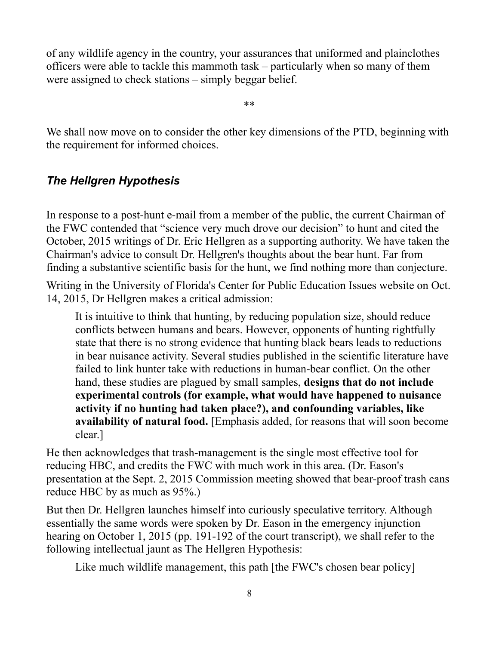of any wildlife agency in the country, your assurances that uniformed and plainclothes officers were able to tackle this mammoth task – particularly when so many of them were assigned to check stations – simply beggar belief.

\*\*

We shall now move on to consider the other key dimensions of the PTD, beginning with the requirement for informed choices.

# *The Hellgren Hypothesis*

In response to a post-hunt e-mail from a member of the public, the current Chairman of the FWC contended that "science very much drove our decision" to hunt and cited the October, 2015 writings of Dr. Eric Hellgren as a supporting authority. We have taken the Chairman's advice to consult Dr. Hellgren's thoughts about the bear hunt. Far from finding a substantive scientific basis for the hunt, we find nothing more than conjecture.

Writing in the University of Florida's Center for Public Education Issues website on Oct. 14, 2015, Dr Hellgren makes a critical admission:

It is intuitive to think that hunting, by reducing population size, should reduce conflicts between humans and bears. However, opponents of hunting rightfully state that there is no strong evidence that hunting black bears leads to reductions in bear nuisance activity. Several studies published in the scientific literature have failed to link hunter take with reductions in human-bear conflict. On the other hand, these studies are plagued by small samples, **designs that do not include experimental controls (for example, what would have happened to nuisance activity if no hunting had taken place?), and confounding variables, like availability of natural food.** [Emphasis added, for reasons that will soon become clear.]

He then acknowledges that trash-management is the single most effective tool for reducing HBC, and credits the FWC with much work in this area. (Dr. Eason's presentation at the Sept. 2, 2015 Commission meeting showed that bear-proof trash cans reduce HBC by as much as 95%.)

But then Dr. Hellgren launches himself into curiously speculative territory. Although essentially the same words were spoken by Dr. Eason in the emergency injunction hearing on October 1, 2015 (pp. 191-192 of the court transcript), we shall refer to the following intellectual jaunt as The Hellgren Hypothesis:

Like much wildlife management, this path [the FWC's chosen bear policy]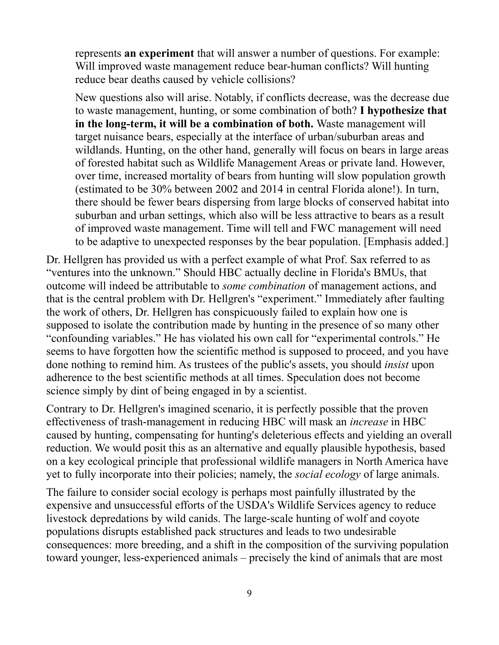represents **an experiment** that will answer a number of questions. For example: Will improved waste management reduce bear-human conflicts? Will hunting reduce bear deaths caused by vehicle collisions?

New questions also will arise. Notably, if conflicts decrease, was the decrease due to waste management, hunting, or some combination of both? **I hypothesize that in the long-term, it will be a combination of both.** Waste management will target nuisance bears, especially at the interface of urban/suburban areas and wildlands. Hunting, on the other hand, generally will focus on bears in large areas of forested habitat such as Wildlife Management Areas or private land. However, over time, increased mortality of bears from hunting will slow population growth (estimated to be 30% between 2002 and 2014 in central Florida alone!). In turn, there should be fewer bears dispersing from large blocks of conserved habitat into suburban and urban settings, which also will be less attractive to bears as a result of improved waste management. Time will tell and FWC management will need to be adaptive to unexpected responses by the bear population. [Emphasis added.]

Dr. Hellgren has provided us with a perfect example of what Prof. Sax referred to as "ventures into the unknown." Should HBC actually decline in Florida's BMUs, that outcome will indeed be attributable to *some combination* of management actions, and that is the central problem with Dr. Hellgren's "experiment." Immediately after faulting the work of others, Dr. Hellgren has conspicuously failed to explain how one is supposed to isolate the contribution made by hunting in the presence of so many other "confounding variables." He has violated his own call for "experimental controls." He seems to have forgotten how the scientific method is supposed to proceed, and you have done nothing to remind him. As trustees of the public's assets, you should *insist* upon adherence to the best scientific methods at all times. Speculation does not become science simply by dint of being engaged in by a scientist.

Contrary to Dr. Hellgren's imagined scenario, it is perfectly possible that the proven effectiveness of trash-management in reducing HBC will mask an *increase* in HBC caused by hunting, compensating for hunting's deleterious effects and yielding an overall reduction. We would posit this as an alternative and equally plausible hypothesis, based on a key ecological principle that professional wildlife managers in North America have yet to fully incorporate into their policies; namely, the *social ecology* of large animals.

The failure to consider social ecology is perhaps most painfully illustrated by the expensive and unsuccessful efforts of the USDA's Wildlife Services agency to reduce livestock depredations by wild canids. The large-scale hunting of wolf and coyote populations disrupts established pack structures and leads to two undesirable consequences: more breeding, and a shift in the composition of the surviving population toward younger, less-experienced animals – precisely the kind of animals that are most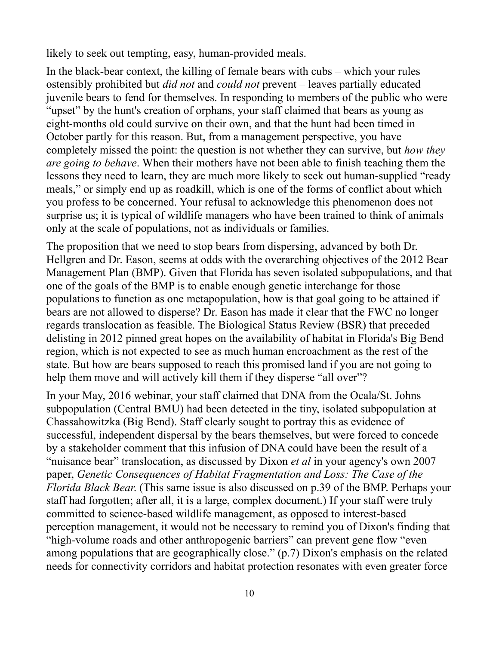likely to seek out tempting, easy, human-provided meals.

In the black-bear context, the killing of female bears with cubs – which your rules ostensibly prohibited but *did not* and *could not* prevent – leaves partially educated juvenile bears to fend for themselves. In responding to members of the public who were "upset" by the hunt's creation of orphans, your staff claimed that bears as young as eight-months old could survive on their own, and that the hunt had been timed in October partly for this reason. But, from a management perspective, you have completely missed the point: the question is not whether they can survive, but *how they are going to behave*. When their mothers have not been able to finish teaching them the lessons they need to learn, they are much more likely to seek out human-supplied "ready meals," or simply end up as roadkill, which is one of the forms of conflict about which you profess to be concerned. Your refusal to acknowledge this phenomenon does not surprise us; it is typical of wildlife managers who have been trained to think of animals only at the scale of populations, not as individuals or families.

The proposition that we need to stop bears from dispersing, advanced by both Dr. Hellgren and Dr. Eason, seems at odds with the overarching objectives of the 2012 Bear Management Plan (BMP). Given that Florida has seven isolated subpopulations, and that one of the goals of the BMP is to enable enough genetic interchange for those populations to function as one metapopulation, how is that goal going to be attained if bears are not allowed to disperse? Dr. Eason has made it clear that the FWC no longer regards translocation as feasible. The Biological Status Review (BSR) that preceded delisting in 2012 pinned great hopes on the availability of habitat in Florida's Big Bend region, which is not expected to see as much human encroachment as the rest of the state. But how are bears supposed to reach this promised land if you are not going to help them move and will actively kill them if they disperse "all over"?

In your May, 2016 webinar, your staff claimed that DNA from the Ocala/St. Johns subpopulation (Central BMU) had been detected in the tiny, isolated subpopulation at Chassahowitzka (Big Bend). Staff clearly sought to portray this as evidence of successful, independent dispersal by the bears themselves, but were forced to concede by a stakeholder comment that this infusion of DNA could have been the result of a "nuisance bear" translocation, as discussed by Dixon *et al* in your agency's own 2007 paper, *Genetic Consequences of Habitat Fragmentation and Loss: The Case of the Florida Black Bear*. (This same issue is also discussed on p.39 of the BMP. Perhaps your staff had forgotten; after all, it is a large, complex document.) If your staff were truly committed to science-based wildlife management, as opposed to interest-based perception management, it would not be necessary to remind you of Dixon's finding that "high-volume roads and other anthropogenic barriers" can prevent gene flow "even among populations that are geographically close." (p.7) Dixon's emphasis on the related needs for connectivity corridors and habitat protection resonates with even greater force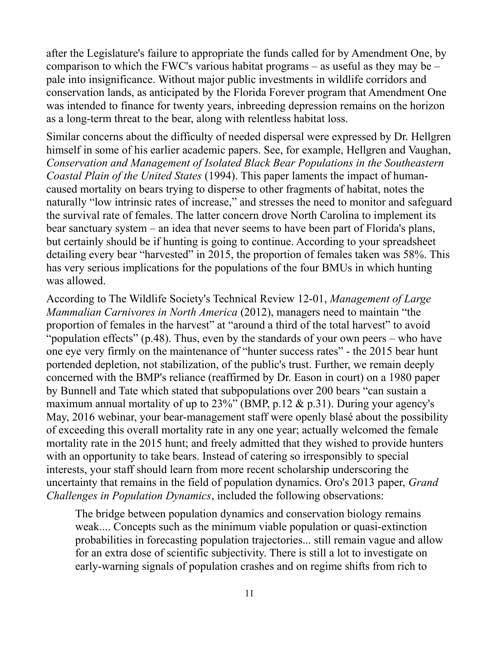after the Legislature's failure to appropriate the funds called for by Amendment One, by comparison to which the FWC's various habitat programs – as useful as they may be – pale into insignificance. Without major public investments in wildlife corridors and conservation lands, as anticipated by the Florida Forever program that Amendment One was intended to finance for twenty years, inbreeding depression remains on the horizon as a long-term threat to the bear, along with relentless habitat loss.

Similar concerns about the difficulty of needed dispersal were expressed by Dr. Hellgren himself in some of his earlier academic papers. See, for example, Hellgren and Vaughan, *Conservation and Management of Isolated Black Bear Populations in the Southeastern Coastal Plain of the United States* (1994). This paper laments the impact of humancaused mortality on bears trying to disperse to other fragments of habitat, notes the naturally "low intrinsic rates of increase," and stresses the need to monitor and safeguard the survival rate of females. The latter concern drove North Carolina to implement its bear sanctuary system – an idea that never seems to have been part of Florida's plans, but certainly should be if hunting is going to continue. According to your spreadsheet detailing every bear "harvested" in 2015, the proportion of females taken was 58%. This has very serious implications for the populations of the four BMUs in which hunting was allowed.

According to The Wildlife Society's Technical Review 12-01, *Management of Large Mammalian Carnivores in North America* (2012), managers need to maintain "the proportion of females in the harvest" at "around a third of the total harvest" to avoid "population effects" (p.48). Thus, even by the standards of your own peers – who have one eye very firmly on the maintenance of "hunter success rates" - the 2015 bear hunt portended depletion, not stabilization, of the public's trust. Further, we remain deeply concerned with the BMP's reliance (reaffirmed by Dr. Eason in court) on a 1980 paper by Bunnell and Tate which stated that subpopulations over 200 bears "can sustain a maximum annual mortality of up to  $23\%$ " (BMP, p.12 & p.31). During your agency's May, 2016 webinar, your bear-management staff were openly blasé about the possibility of exceeding this overall mortality rate in any one year; actually welcomed the female mortality rate in the 2015 hunt; and freely admitted that they wished to provide hunters with an opportunity to take bears. Instead of catering so irresponsibly to special interests, your staff should learn from more recent scholarship underscoring the uncertainty that remains in the field of population dynamics. Oro's 2013 paper, *Grand Challenges in Population Dynamics*, included the following observations:

The bridge between population dynamics and conservation biology remains weak.... Concepts such as the minimum viable population or quasi-extinction probabilities in forecasting population trajectories... still remain vague and allow for an extra dose of scientific subjectivity. There is still a lot to investigate on early-warning signals of population crashes and on regime shifts from rich to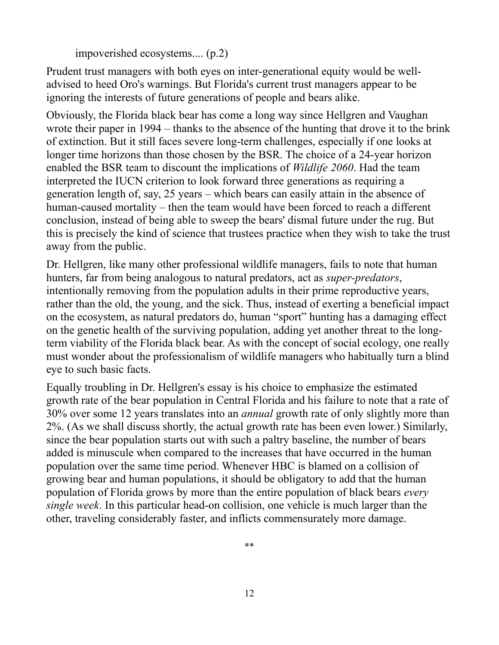impoverished ecosystems.... (p.2)

Prudent trust managers with both eyes on inter-generational equity would be welladvised to heed Oro's warnings. But Florida's current trust managers appear to be ignoring the interests of future generations of people and bears alike.

Obviously, the Florida black bear has come a long way since Hellgren and Vaughan wrote their paper in 1994 – thanks to the absence of the hunting that drove it to the brink of extinction. But it still faces severe long-term challenges, especially if one looks at longer time horizons than those chosen by the BSR. The choice of a 24-year horizon enabled the BSR team to discount the implications of *Wildlife 2060*. Had the team interpreted the IUCN criterion to look forward three generations as requiring a generation length of, say, 25 years – which bears can easily attain in the absence of human-caused mortality – then the team would have been forced to reach a different conclusion, instead of being able to sweep the bears' dismal future under the rug. But this is precisely the kind of science that trustees practice when they wish to take the trust away from the public.

Dr. Hellgren, like many other professional wildlife managers, fails to note that human hunters, far from being analogous to natural predators, act as *super-predators*, intentionally removing from the population adults in their prime reproductive years, rather than the old, the young, and the sick. Thus, instead of exerting a beneficial impact on the ecosystem, as natural predators do, human "sport" hunting has a damaging effect on the genetic health of the surviving population, adding yet another threat to the longterm viability of the Florida black bear. As with the concept of social ecology, one really must wonder about the professionalism of wildlife managers who habitually turn a blind eye to such basic facts.

Equally troubling in Dr. Hellgren's essay is his choice to emphasize the estimated growth rate of the bear population in Central Florida and his failure to note that a rate of 30% over some 12 years translates into an *annual* growth rate of only slightly more than 2%. (As we shall discuss shortly, the actual growth rate has been even lower.) Similarly, since the bear population starts out with such a paltry baseline, the number of bears added is minuscule when compared to the increases that have occurred in the human population over the same time period. Whenever HBC is blamed on a collision of growing bear and human populations, it should be obligatory to add that the human population of Florida grows by more than the entire population of black bears *every single week*. In this particular head-on collision, one vehicle is much larger than the other, traveling considerably faster, and inflicts commensurately more damage.

\*\*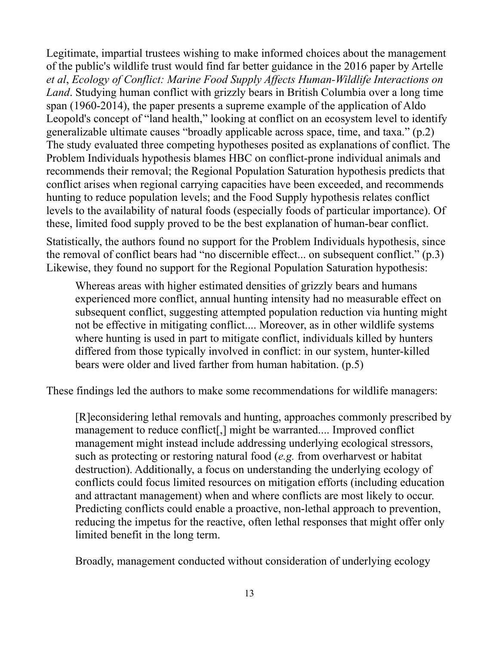Legitimate, impartial trustees wishing to make informed choices about the management of the public's wildlife trust would find far better guidance in the 2016 paper by Artelle *et al*, *Ecology of Conflict: Marine Food Supply Affects Human-Wildlife Interactions on Land*. Studying human conflict with grizzly bears in British Columbia over a long time span (1960-2014), the paper presents a supreme example of the application of Aldo Leopold's concept of "land health," looking at conflict on an ecosystem level to identify generalizable ultimate causes "broadly applicable across space, time, and taxa." (p.2) The study evaluated three competing hypotheses posited as explanations of conflict. The Problem Individuals hypothesis blames HBC on conflict-prone individual animals and recommends their removal; the Regional Population Saturation hypothesis predicts that conflict arises when regional carrying capacities have been exceeded, and recommends hunting to reduce population levels; and the Food Supply hypothesis relates conflict levels to the availability of natural foods (especially foods of particular importance). Of these, limited food supply proved to be the best explanation of human-bear conflict.

Statistically, the authors found no support for the Problem Individuals hypothesis, since the removal of conflict bears had "no discernible effect... on subsequent conflict." (p.3) Likewise, they found no support for the Regional Population Saturation hypothesis:

Whereas areas with higher estimated densities of grizzly bears and humans experienced more conflict, annual hunting intensity had no measurable effect on subsequent conflict, suggesting attempted population reduction via hunting might not be effective in mitigating conflict.... Moreover, as in other wildlife systems where hunting is used in part to mitigate conflict, individuals killed by hunters differed from those typically involved in conflict: in our system, hunter-killed bears were older and lived farther from human habitation. (p.5)

These findings led the authors to make some recommendations for wildlife managers:

[R]econsidering lethal removals and hunting, approaches commonly prescribed by management to reduce conflict[,] might be warranted.... Improved conflict management might instead include addressing underlying ecological stressors, such as protecting or restoring natural food (*e.g.* from overharvest or habitat destruction). Additionally, a focus on understanding the underlying ecology of conflicts could focus limited resources on mitigation efforts (including education and attractant management) when and where conflicts are most likely to occur. Predicting conflicts could enable a proactive, non-lethal approach to prevention, reducing the impetus for the reactive, often lethal responses that might offer only limited benefit in the long term.

Broadly, management conducted without consideration of underlying ecology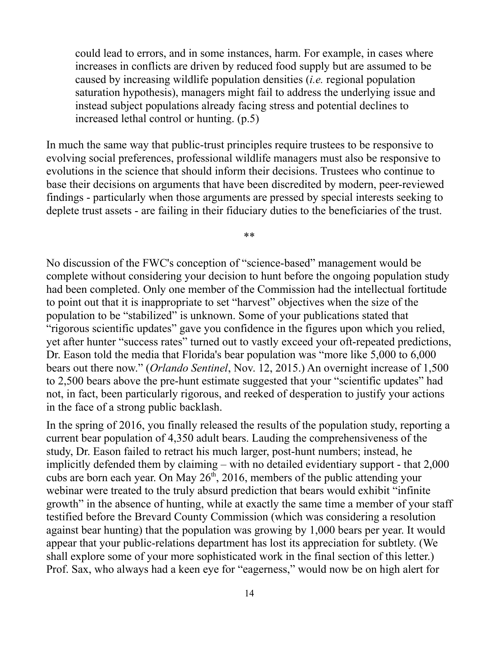could lead to errors, and in some instances, harm. For example, in cases where increases in conflicts are driven by reduced food supply but are assumed to be caused by increasing wildlife population densities (*i.e.* regional population saturation hypothesis), managers might fail to address the underlying issue and instead subject populations already facing stress and potential declines to increased lethal control or hunting. (p.5)

In much the same way that public-trust principles require trustees to be responsive to evolving social preferences, professional wildlife managers must also be responsive to evolutions in the science that should inform their decisions. Trustees who continue to base their decisions on arguments that have been discredited by modern, peer-reviewed findings - particularly when those arguments are pressed by special interests seeking to deplete trust assets - are failing in their fiduciary duties to the beneficiaries of the trust.

\*\*

No discussion of the FWC's conception of "science-based" management would be complete without considering your decision to hunt before the ongoing population study had been completed. Only one member of the Commission had the intellectual fortitude to point out that it is inappropriate to set "harvest" objectives when the size of the population to be "stabilized" is unknown. Some of your publications stated that "rigorous scientific updates" gave you confidence in the figures upon which you relied, yet after hunter "success rates" turned out to vastly exceed your oft-repeated predictions, Dr. Eason told the media that Florida's bear population was "more like 5,000 to 6,000 bears out there now." (*Orlando Sentinel*, Nov. 12, 2015.) An overnight increase of 1,500 to 2,500 bears above the pre-hunt estimate suggested that your "scientific updates" had not, in fact, been particularly rigorous, and reeked of desperation to justify your actions in the face of a strong public backlash.

In the spring of 2016, you finally released the results of the population study, reporting a current bear population of 4,350 adult bears. Lauding the comprehensiveness of the study, Dr. Eason failed to retract his much larger, post-hunt numbers; instead, he implicitly defended them by claiming – with no detailed evidentiary support - that 2,000 cubs are born each year. On May  $26<sup>th</sup>$ , 2016, members of the public attending your webinar were treated to the truly absurd prediction that bears would exhibit "infinite growth" in the absence of hunting, while at exactly the same time a member of your staff testified before the Brevard County Commission (which was considering a resolution against bear hunting) that the population was growing by 1,000 bears per year. It would appear that your public-relations department has lost its appreciation for subtlety. (We shall explore some of your more sophisticated work in the final section of this letter.) Prof. Sax, who always had a keen eye for "eagerness," would now be on high alert for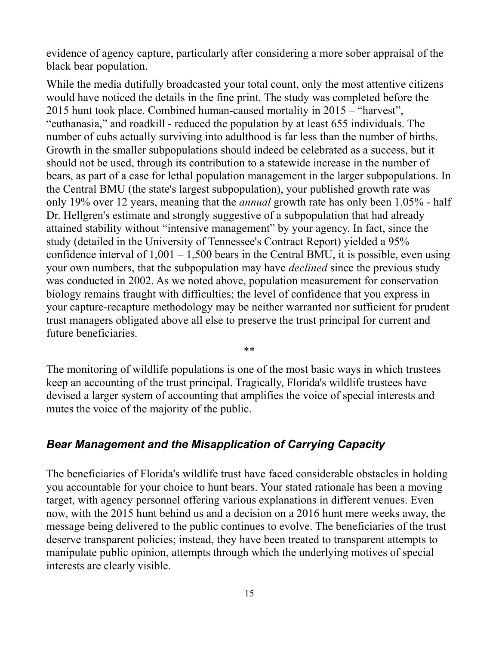evidence of agency capture, particularly after considering a more sober appraisal of the black bear population.

While the media dutifully broadcasted your total count, only the most attentive citizens would have noticed the details in the fine print. The study was completed before the 2015 hunt took place. Combined human-caused mortality in 2015 – "harvest", "euthanasia," and roadkill - reduced the population by at least 655 individuals. The number of cubs actually surviving into adulthood is far less than the number of births. Growth in the smaller subpopulations should indeed be celebrated as a success, but it should not be used, through its contribution to a statewide increase in the number of bears, as part of a case for lethal population management in the larger subpopulations. In the Central BMU (the state's largest subpopulation), your published growth rate was only 19% over 12 years, meaning that the *annual* growth rate has only been 1.05% - half Dr. Hellgren's estimate and strongly suggestive of a subpopulation that had already attained stability without "intensive management" by your agency. In fact, since the study (detailed in the University of Tennessee's Contract Report) yielded a 95% confidence interval of  $1,001 - 1,500$  bears in the Central BMU, it is possible, even using your own numbers, that the subpopulation may have *declined* since the previous study was conducted in 2002. As we noted above, population measurement for conservation biology remains fraught with difficulties; the level of confidence that you express in your capture-recapture methodology may be neither warranted nor sufficient for prudent trust managers obligated above all else to preserve the trust principal for current and future beneficiaries.

The monitoring of wildlife populations is one of the most basic ways in which trustees keep an accounting of the trust principal. Tragically, Florida's wildlife trustees have devised a larger system of accounting that amplifies the voice of special interests and mutes the voice of the majority of the public.

\*\*

# *Bear Management and the Misapplication of Carrying Capacity*

The beneficiaries of Florida's wildlife trust have faced considerable obstacles in holding you accountable for your choice to hunt bears. Your stated rationale has been a moving target, with agency personnel offering various explanations in different venues. Even now, with the 2015 hunt behind us and a decision on a 2016 hunt mere weeks away, the message being delivered to the public continues to evolve. The beneficiaries of the trust deserve transparent policies; instead, they have been treated to transparent attempts to manipulate public opinion, attempts through which the underlying motives of special interests are clearly visible.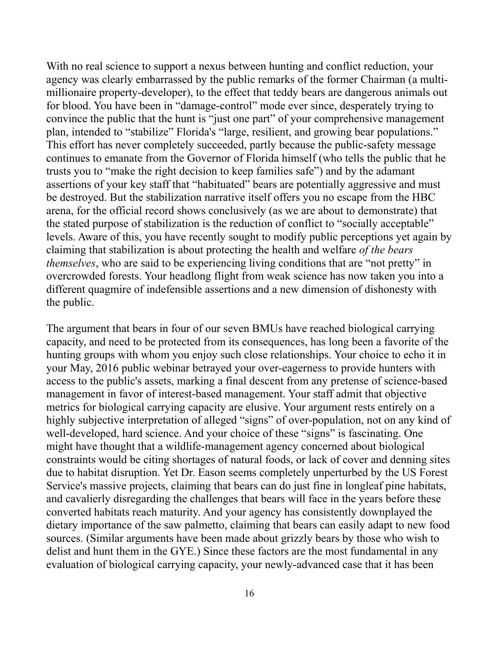With no real science to support a nexus between hunting and conflict reduction, your agency was clearly embarrassed by the public remarks of the former Chairman (a multimillionaire property-developer), to the effect that teddy bears are dangerous animals out for blood. You have been in "damage-control" mode ever since, desperately trying to convince the public that the hunt is "just one part" of your comprehensive management plan, intended to "stabilize" Florida's "large, resilient, and growing bear populations." This effort has never completely succeeded, partly because the public-safety message continues to emanate from the Governor of Florida himself (who tells the public that he trusts you to "make the right decision to keep families safe") and by the adamant assertions of your key staff that "habituated" bears are potentially aggressive and must be destroyed. But the stabilization narrative itself offers you no escape from the HBC arena, for the official record shows conclusively (as we are about to demonstrate) that the stated purpose of stabilization is the reduction of conflict to "socially acceptable" levels. Aware of this, you have recently sought to modify public perceptions yet again by claiming that stabilization is about protecting the health and welfare *of the bears themselves*, who are said to be experiencing living conditions that are "not pretty" in overcrowded forests. Your headlong flight from weak science has now taken you into a different quagmire of indefensible assertions and a new dimension of dishonesty with the public.

The argument that bears in four of our seven BMUs have reached biological carrying capacity, and need to be protected from its consequences, has long been a favorite of the hunting groups with whom you enjoy such close relationships. Your choice to echo it in your May, 2016 public webinar betrayed your over-eagerness to provide hunters with access to the public's assets, marking a final descent from any pretense of science-based management in favor of interest-based management. Your staff admit that objective metrics for biological carrying capacity are elusive. Your argument rests entirely on a highly subjective interpretation of alleged "signs" of over-population, not on any kind of well-developed, hard science. And your choice of these "signs" is fascinating. One might have thought that a wildlife-management agency concerned about biological constraints would be citing shortages of natural foods, or lack of cover and denning sites due to habitat disruption. Yet Dr. Eason seems completely unperturbed by the US Forest Service's massive projects, claiming that bears can do just fine in longleaf pine habitats, and cavalierly disregarding the challenges that bears will face in the years before these converted habitats reach maturity. And your agency has consistently downplayed the dietary importance of the saw palmetto, claiming that bears can easily adapt to new food sources. (Similar arguments have been made about grizzly bears by those who wish to delist and hunt them in the GYE.) Since these factors are the most fundamental in any evaluation of biological carrying capacity, your newly-advanced case that it has been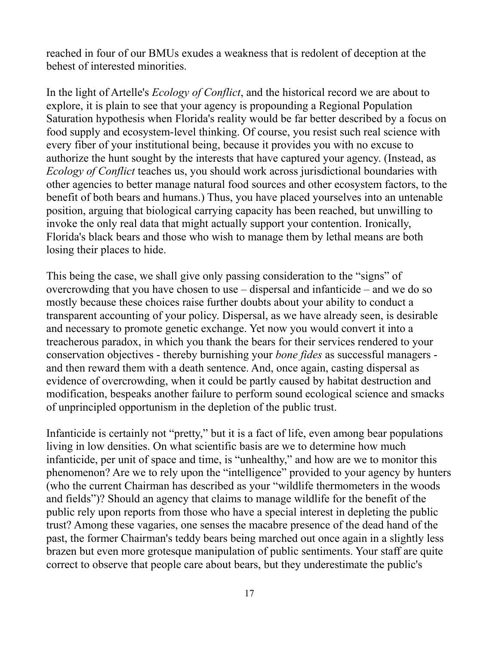reached in four of our BMUs exudes a weakness that is redolent of deception at the behest of interested minorities.

In the light of Artelle's *Ecology of Conflict*, and the historical record we are about to explore, it is plain to see that your agency is propounding a Regional Population Saturation hypothesis when Florida's reality would be far better described by a focus on food supply and ecosystem-level thinking. Of course, you resist such real science with every fiber of your institutional being, because it provides you with no excuse to authorize the hunt sought by the interests that have captured your agency. (Instead, as *Ecology of Conflict* teaches us, you should work across jurisdictional boundaries with other agencies to better manage natural food sources and other ecosystem factors, to the benefit of both bears and humans.) Thus, you have placed yourselves into an untenable position, arguing that biological carrying capacity has been reached, but unwilling to invoke the only real data that might actually support your contention. Ironically, Florida's black bears and those who wish to manage them by lethal means are both losing their places to hide.

This being the case, we shall give only passing consideration to the "signs" of overcrowding that you have chosen to use – dispersal and infanticide – and we do so mostly because these choices raise further doubts about your ability to conduct a transparent accounting of your policy. Dispersal, as we have already seen, is desirable and necessary to promote genetic exchange. Yet now you would convert it into a treacherous paradox, in which you thank the bears for their services rendered to your conservation objectives - thereby burnishing your *bone fides* as successful managers and then reward them with a death sentence. And, once again, casting dispersal as evidence of overcrowding, when it could be partly caused by habitat destruction and modification, bespeaks another failure to perform sound ecological science and smacks of unprincipled opportunism in the depletion of the public trust.

Infanticide is certainly not "pretty," but it is a fact of life, even among bear populations living in low densities. On what scientific basis are we to determine how much infanticide, per unit of space and time, is "unhealthy," and how are we to monitor this phenomenon? Are we to rely upon the "intelligence" provided to your agency by hunters (who the current Chairman has described as your "wildlife thermometers in the woods and fields")? Should an agency that claims to manage wildlife for the benefit of the public rely upon reports from those who have a special interest in depleting the public trust? Among these vagaries, one senses the macabre presence of the dead hand of the past, the former Chairman's teddy bears being marched out once again in a slightly less brazen but even more grotesque manipulation of public sentiments. Your staff are quite correct to observe that people care about bears, but they underestimate the public's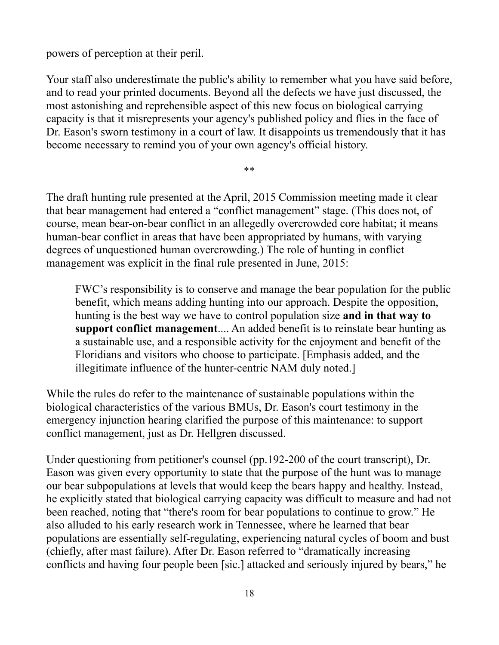powers of perception at their peril.

Your staff also underestimate the public's ability to remember what you have said before, and to read your printed documents. Beyond all the defects we have just discussed, the most astonishing and reprehensible aspect of this new focus on biological carrying capacity is that it misrepresents your agency's published policy and flies in the face of Dr. Eason's sworn testimony in a court of law. It disappoints us tremendously that it has become necessary to remind you of your own agency's official history.

\*\*

The draft hunting rule presented at the April, 2015 Commission meeting made it clear that bear management had entered a "conflict management" stage. (This does not, of course, mean bear-on-bear conflict in an allegedly overcrowded core habitat; it means human-bear conflict in areas that have been appropriated by humans, with varying degrees of unquestioned human overcrowding.) The role of hunting in conflict management was explicit in the final rule presented in June, 2015:

FWC's responsibility is to conserve and manage the bear population for the public benefit, which means adding hunting into our approach. Despite the opposition, hunting is the best way we have to control population size **and in that way to support conflict management**.... An added benefit is to reinstate bear hunting as a sustainable use, and a responsible activity for the enjoyment and benefit of the Floridians and visitors who choose to participate. [Emphasis added, and the illegitimate influence of the hunter-centric NAM duly noted.]

While the rules do refer to the maintenance of sustainable populations within the biological characteristics of the various BMUs, Dr. Eason's court testimony in the emergency injunction hearing clarified the purpose of this maintenance: to support conflict management, just as Dr. Hellgren discussed.

Under questioning from petitioner's counsel (pp.192-200 of the court transcript), Dr. Eason was given every opportunity to state that the purpose of the hunt was to manage our bear subpopulations at levels that would keep the bears happy and healthy. Instead, he explicitly stated that biological carrying capacity was difficult to measure and had not been reached, noting that "there's room for bear populations to continue to grow." He also alluded to his early research work in Tennessee, where he learned that bear populations are essentially self-regulating, experiencing natural cycles of boom and bust (chiefly, after mast failure). After Dr. Eason referred to "dramatically increasing conflicts and having four people been [sic.] attacked and seriously injured by bears," he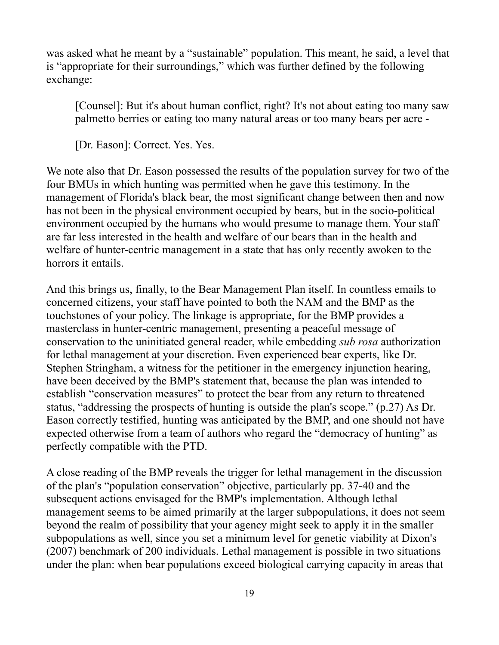was asked what he meant by a "sustainable" population. This meant, he said, a level that is "appropriate for their surroundings," which was further defined by the following exchange:

[Counsel]: But it's about human conflict, right? It's not about eating too many saw palmetto berries or eating too many natural areas or too many bears per acre -

[Dr. Eason]: Correct. Yes. Yes.

We note also that Dr. Eason possessed the results of the population survey for two of the four BMUs in which hunting was permitted when he gave this testimony. In the management of Florida's black bear, the most significant change between then and now has not been in the physical environment occupied by bears, but in the socio-political environment occupied by the humans who would presume to manage them. Your staff are far less interested in the health and welfare of our bears than in the health and welfare of hunter-centric management in a state that has only recently awoken to the horrors it entails.

And this brings us, finally, to the Bear Management Plan itself. In countless emails to concerned citizens, your staff have pointed to both the NAM and the BMP as the touchstones of your policy. The linkage is appropriate, for the BMP provides a masterclass in hunter-centric management, presenting a peaceful message of conservation to the uninitiated general reader, while embedding *sub rosa* authorization for lethal management at your discretion. Even experienced bear experts, like Dr. Stephen Stringham, a witness for the petitioner in the emergency injunction hearing, have been deceived by the BMP's statement that, because the plan was intended to establish "conservation measures" to protect the bear from any return to threatened status, "addressing the prospects of hunting is outside the plan's scope." (p.27) As Dr. Eason correctly testified, hunting was anticipated by the BMP, and one should not have expected otherwise from a team of authors who regard the "democracy of hunting" as perfectly compatible with the PTD.

A close reading of the BMP reveals the trigger for lethal management in the discussion of the plan's "population conservation" objective, particularly pp. 37-40 and the subsequent actions envisaged for the BMP's implementation. Although lethal management seems to be aimed primarily at the larger subpopulations, it does not seem beyond the realm of possibility that your agency might seek to apply it in the smaller subpopulations as well, since you set a minimum level for genetic viability at Dixon's (2007) benchmark of 200 individuals. Lethal management is possible in two situations under the plan: when bear populations exceed biological carrying capacity in areas that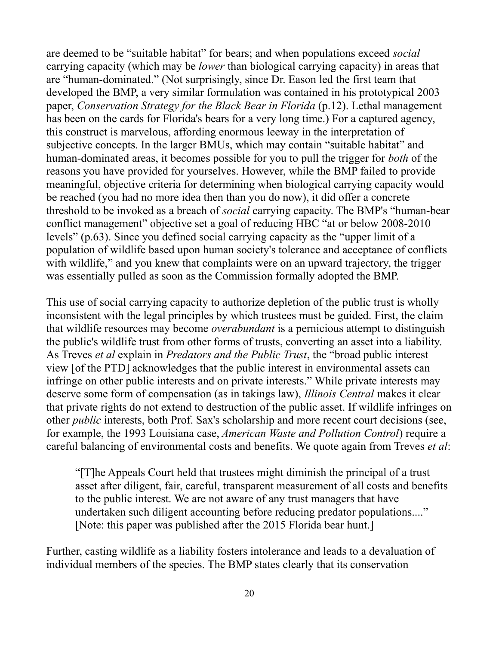are deemed to be "suitable habitat" for bears; and when populations exceed *social* carrying capacity (which may be *lower* than biological carrying capacity) in areas that are "human-dominated." (Not surprisingly, since Dr. Eason led the first team that developed the BMP, a very similar formulation was contained in his prototypical 2003 paper, *Conservation Strategy for the Black Bear in Florida* (p.12). Lethal management has been on the cards for Florida's bears for a very long time.) For a captured agency, this construct is marvelous, affording enormous leeway in the interpretation of subjective concepts. In the larger BMUs, which may contain "suitable habitat" and human-dominated areas, it becomes possible for you to pull the trigger for *both* of the reasons you have provided for yourselves. However, while the BMP failed to provide meaningful, objective criteria for determining when biological carrying capacity would be reached (you had no more idea then than you do now), it did offer a concrete threshold to be invoked as a breach of *social* carrying capacity. The BMP's "human-bear conflict management" objective set a goal of reducing HBC "at or below 2008-2010 levels" (p.63). Since you defined social carrying capacity as the "upper limit of a population of wildlife based upon human society's tolerance and acceptance of conflicts with wildlife," and you knew that complaints were on an upward trajectory, the trigger was essentially pulled as soon as the Commission formally adopted the BMP.

This use of social carrying capacity to authorize depletion of the public trust is wholly inconsistent with the legal principles by which trustees must be guided. First, the claim that wildlife resources may become *overabundant* is a pernicious attempt to distinguish the public's wildlife trust from other forms of trusts, converting an asset into a liability. As Treves *et al* explain in *Predators and the Public Trust*, the "broad public interest view [of the PTD] acknowledges that the public interest in environmental assets can infringe on other public interests and on private interests." While private interests may deserve some form of compensation (as in takings law), *Illinois Central* makes it clear that private rights do not extend to destruction of the public asset. If wildlife infringes on other *public* interests, both Prof. Sax's scholarship and more recent court decisions (see, for example, the 1993 Louisiana case, *American Waste and Pollution Control*) require a careful balancing of environmental costs and benefits. We quote again from Treves *et al*:

"[T]he Appeals Court held that trustees might diminish the principal of a trust asset after diligent, fair, careful, transparent measurement of all costs and benefits to the public interest. We are not aware of any trust managers that have undertaken such diligent accounting before reducing predator populations...." [Note: this paper was published after the 2015 Florida bear hunt.]

Further, casting wildlife as a liability fosters intolerance and leads to a devaluation of individual members of the species. The BMP states clearly that its conservation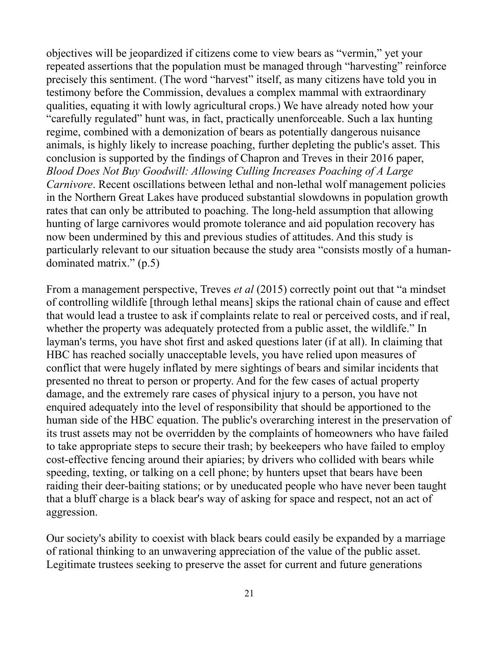objectives will be jeopardized if citizens come to view bears as "vermin," yet your repeated assertions that the population must be managed through "harvesting" reinforce precisely this sentiment. (The word "harvest" itself, as many citizens have told you in testimony before the Commission, devalues a complex mammal with extraordinary qualities, equating it with lowly agricultural crops.) We have already noted how your "carefully regulated" hunt was, in fact, practically unenforceable. Such a lax hunting regime, combined with a demonization of bears as potentially dangerous nuisance animals, is highly likely to increase poaching, further depleting the public's asset. This conclusion is supported by the findings of Chapron and Treves in their 2016 paper, *Blood Does Not Buy Goodwill: Allowing Culling Increases Poaching of A Large Carnivore*. Recent oscillations between lethal and non-lethal wolf management policies in the Northern Great Lakes have produced substantial slowdowns in population growth rates that can only be attributed to poaching. The long-held assumption that allowing hunting of large carnivores would promote tolerance and aid population recovery has now been undermined by this and previous studies of attitudes. And this study is particularly relevant to our situation because the study area "consists mostly of a humandominated matrix." (p.5)

From a management perspective, Treves *et al* (2015) correctly point out that "a mindset of controlling wildlife [through lethal means] skips the rational chain of cause and effect that would lead a trustee to ask if complaints relate to real or perceived costs, and if real, whether the property was adequately protected from a public asset, the wildlife." In layman's terms, you have shot first and asked questions later (if at all). In claiming that HBC has reached socially unacceptable levels, you have relied upon measures of conflict that were hugely inflated by mere sightings of bears and similar incidents that presented no threat to person or property. And for the few cases of actual property damage, and the extremely rare cases of physical injury to a person, you have not enquired adequately into the level of responsibility that should be apportioned to the human side of the HBC equation. The public's overarching interest in the preservation of its trust assets may not be overridden by the complaints of homeowners who have failed to take appropriate steps to secure their trash; by beekeepers who have failed to employ cost-effective fencing around their apiaries; by drivers who collided with bears while speeding, texting, or talking on a cell phone; by hunters upset that bears have been raiding their deer-baiting stations; or by uneducated people who have never been taught that a bluff charge is a black bear's way of asking for space and respect, not an act of aggression.

Our society's ability to coexist with black bears could easily be expanded by a marriage of rational thinking to an unwavering appreciation of the value of the public asset. Legitimate trustees seeking to preserve the asset for current and future generations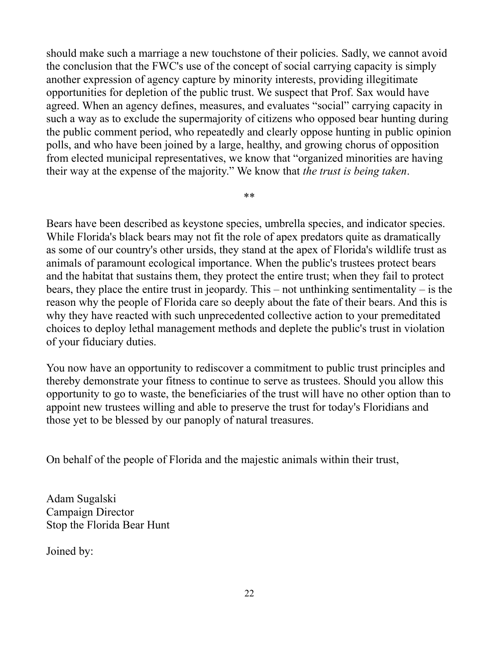should make such a marriage a new touchstone of their policies. Sadly, we cannot avoid the conclusion that the FWC's use of the concept of social carrying capacity is simply another expression of agency capture by minority interests, providing illegitimate opportunities for depletion of the public trust. We suspect that Prof. Sax would have agreed. When an agency defines, measures, and evaluates "social" carrying capacity in such a way as to exclude the supermajority of citizens who opposed bear hunting during the public comment period, who repeatedly and clearly oppose hunting in public opinion polls, and who have been joined by a large, healthy, and growing chorus of opposition from elected municipal representatives, we know that "organized minorities are having their way at the expense of the majority." We know that *the trust is being taken*.

\*\*

Bears have been described as keystone species, umbrella species, and indicator species. While Florida's black bears may not fit the role of apex predators quite as dramatically as some of our country's other ursids, they stand at the apex of Florida's wildlife trust as animals of paramount ecological importance. When the public's trustees protect bears and the habitat that sustains them, they protect the entire trust; when they fail to protect bears, they place the entire trust in jeopardy. This – not unthinking sentimentality – is the reason why the people of Florida care so deeply about the fate of their bears. And this is why they have reacted with such unprecedented collective action to your premeditated choices to deploy lethal management methods and deplete the public's trust in violation of your fiduciary duties.

You now have an opportunity to rediscover a commitment to public trust principles and thereby demonstrate your fitness to continue to serve as trustees. Should you allow this opportunity to go to waste, the beneficiaries of the trust will have no other option than to appoint new trustees willing and able to preserve the trust for today's Floridians and those yet to be blessed by our panoply of natural treasures.

On behalf of the people of Florida and the majestic animals within their trust,

Adam Sugalski Campaign Director Stop the Florida Bear Hunt

Joined by: